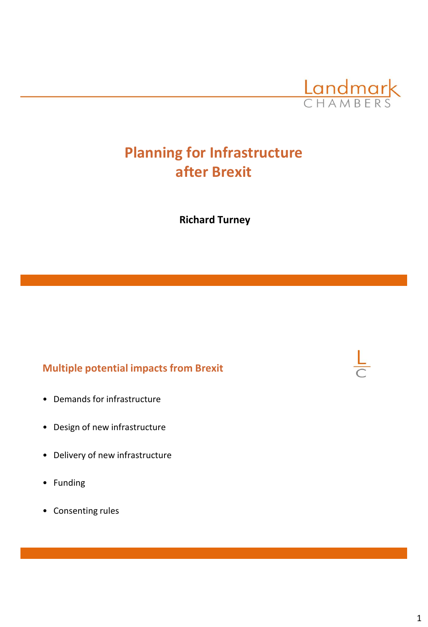

# **Planning for Infrastructure after Brexit**

**Richard Turney**

# **Multiple potential impacts from Brexit**

- Demands for infrastructure
- Design of new infrastructure
- Delivery of new infrastructure
- Funding
- Consenting rules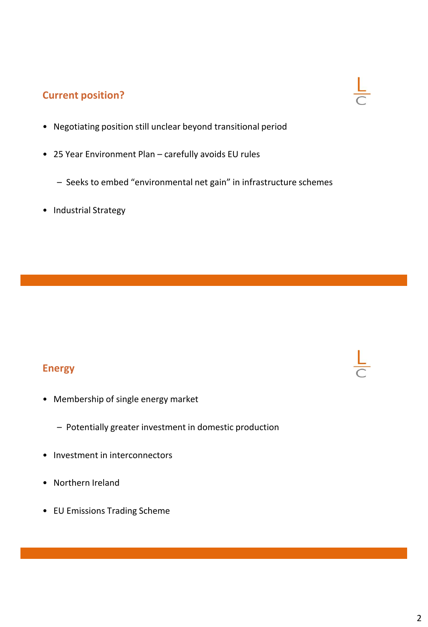## **Current position?**

- Negotiating position still unclear beyond transitional period
- 25 Year Environment Plan carefully avoids EU rules
	- Seeks to embed "environmental net gain" in infrastructure schemes
- Industrial Strategy

## **Energy**

- Membership of single energy market
	- Potentially greater investment in domestic production
- Investment in interconnectors
- Northern Ireland
- EU Emissions Trading Scheme

 $\frac{\mathsf{L}}{\mathsf{C}}$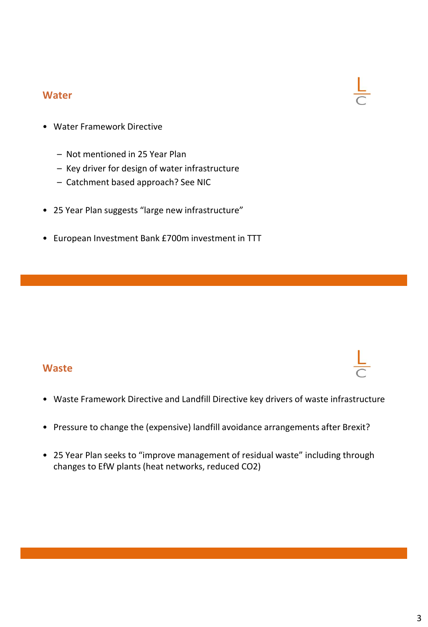#### **Water**



- Water Framework Directive
	- Not mentioned in 25 Year Plan
	- Key driver for design of water infrastructure
	- Catchment based approach? See NIC
- 25 Year Plan suggests "large new infrastructure"
- European Investment Bank £700m investment in TTT

#### **Waste**

- Waste Framework Directive and Landfill Directive key drivers of waste infrastructure
- Pressure to change the (expensive) landfill avoidance arrangements after Brexit?
- 25 Year Plan seeks to "improve management of residual waste" including through changes to EfW plants (heat networks, reduced CO2)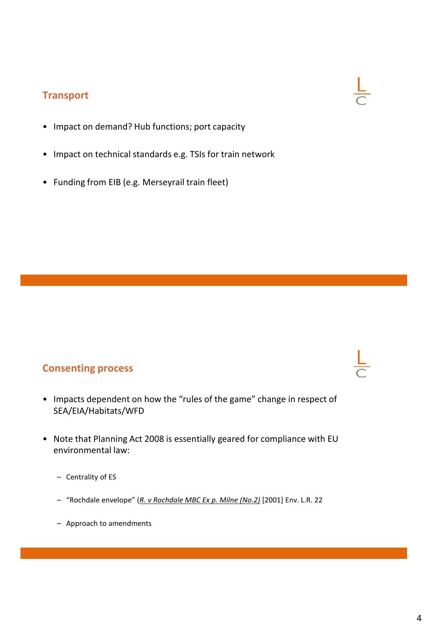### **Transport**

- Impact on demand? Hub functions; port capacity
- Impact on technical standards e.g. TSIs for train network
- Funding from EIB (e.g. Merseyrail train fleet)

#### **Consenting process**

- Impacts dependent on how the "rules of the game" change in respect of SEA/EIA/Habitats/WFD
- Note that Planning Act 2008 is essentially geared for compliance with EU environmental law:
	- Centrality of ES
	- "Rochdale envelope" (*R. v Rochdale MBC Ex p. Milne (No.2)* [2001] Env. L.R. 22
	- Approach to amendments